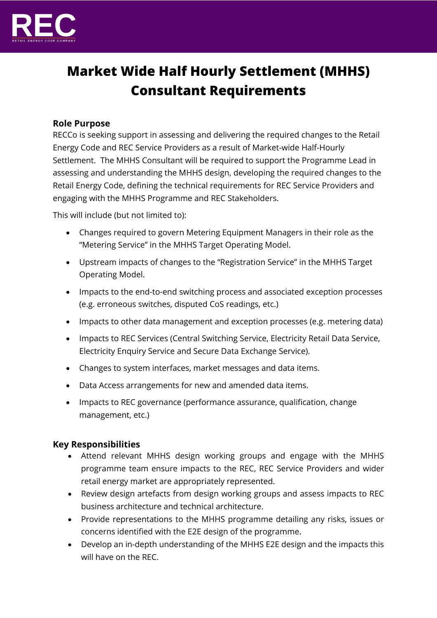

# **Market Wide Half Hourly Settlement (MHHS) Consultant Requirements**

## **Role Purpose**

RECCo is seeking support in assessing and delivering the required changes to the Retail Energy Code and REC Service Providers as a result of Market-wide Half-Hourly Settlement. The MHHS Consultant will be required to support the Programme Lead in assessing and understanding the MHHS design, developing the required changes to the Retail Energy Code, defining the technical requirements for REC Service Providers and engaging with the MHHS Programme and REC Stakeholders.

This will include (but not limited to):

- Changes required to govern Metering Equipment Managers in their role as the "Metering Service" in the MHHS Target Operating Model.
- Upstream impacts of changes to the "Registration Service" in the MHHS Target Operating Model.
- Impacts to the end-to-end switching process and associated exception processes (e.g. erroneous switches, disputed CoS readings, etc.)
- Impacts to other data management and exception processes (e.g. metering data)
- Impacts to REC Services (Central Switching Service, Electricity Retail Data Service, Electricity Enquiry Service and Secure Data Exchange Service).
- Changes to system interfaces, market messages and data items.
- Data Access arrangements for new and amended data items.
- Impacts to REC governance (performance assurance, qualification, change management, etc.)

## **Key Responsibilities**

- Attend relevant MHHS design working groups and engage with the MHHS programme team ensure impacts to the REC, REC Service Providers and wider retail energy market are appropriately represented.
- Review design artefacts from design working groups and assess impacts to REC business architecture and technical architecture.
- Provide representations to the MHHS programme detailing any risks, issues or concerns identified with the E2E design of the programme.
- Develop an in-depth understanding of the MHHS E2E design and the impacts this will have on the REC.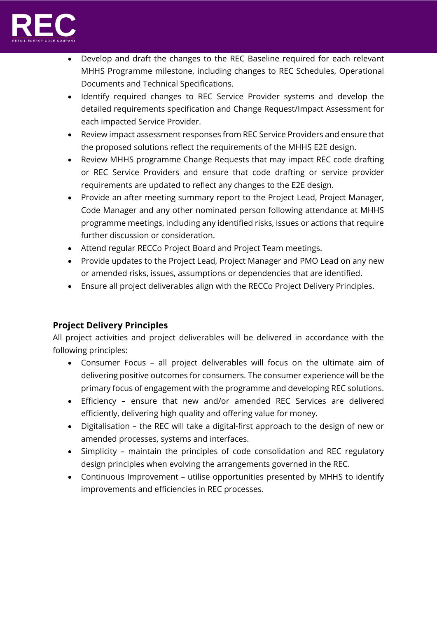

- Develop and draft the changes to the REC Baseline required for each relevant MHHS Programme milestone, including changes to REC Schedules, Operational Documents and Technical Specifications.
- Identify required changes to REC Service Provider systems and develop the detailed requirements specification and Change Request/Impact Assessment for each impacted Service Provider.
- Review impact assessment responses from REC Service Providers and ensure that the proposed solutions reflect the requirements of the MHHS E2E design.
- Review MHHS programme Change Requests that may impact REC code drafting or REC Service Providers and ensure that code drafting or service provider requirements are updated to reflect any changes to the E2E design.
- Provide an after meeting summary report to the Project Lead, Project Manager, Code Manager and any other nominated person following attendance at MHHS programme meetings, including any identified risks, issues or actions that require further discussion or consideration.
- Attend regular RECCo Project Board and Project Team meetings.
- Provide updates to the Project Lead, Project Manager and PMO Lead on any new or amended risks, issues, assumptions or dependencies that are identified.
- Ensure all project deliverables align with the RECCo Project Delivery Principles.

## **Project Delivery Principles**

All project activities and project deliverables will be delivered in accordance with the following principles:

- Consumer Focus all project deliverables will focus on the ultimate aim of delivering positive outcomes for consumers. The consumer experience will be the primary focus of engagement with the programme and developing REC solutions.
- Efficiency ensure that new and/or amended REC Services are delivered efficiently, delivering high quality and offering value for money.
- Digitalisation the REC will take a digital-first approach to the design of new or amended processes, systems and interfaces.
- Simplicity maintain the principles of code consolidation and REC regulatory design principles when evolving the arrangements governed in the REC.
- Continuous Improvement utilise opportunities presented by MHHS to identify improvements and efficiencies in REC processes.